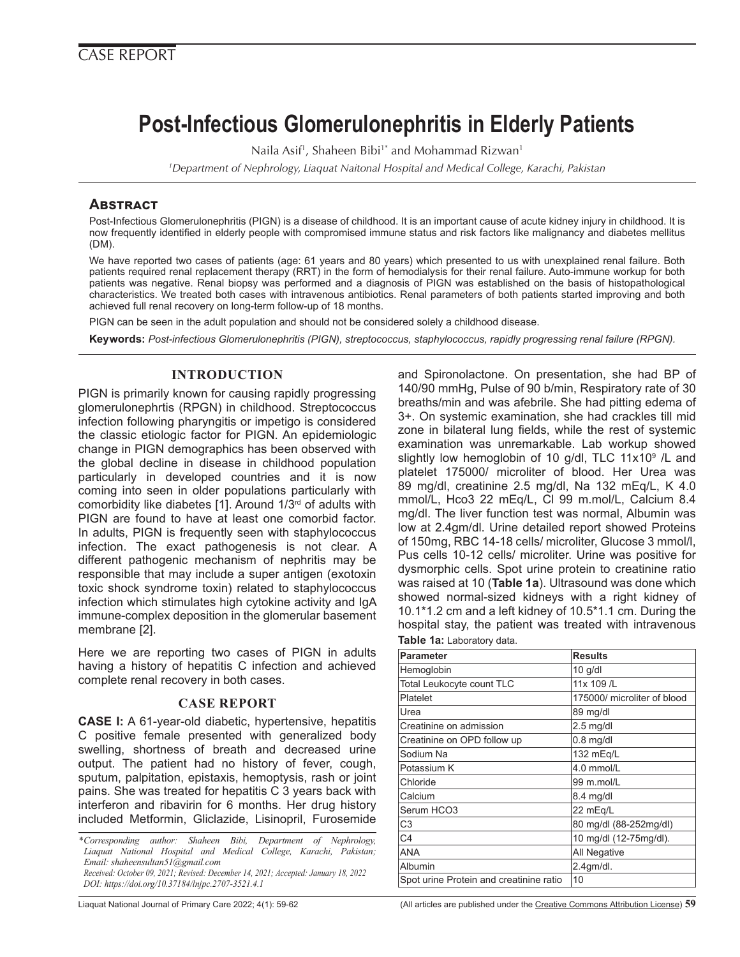# **Post-Infectious Glomerulonephritis in Elderly Patients**

Naila Asif<sup>1</sup>, Shaheen Bibi<sup>1\*</sup> and Mohammad Rizwan<sup>1</sup>

*1 Department of Nephrology, Liaquat Naitonal Hospital and Medical College, Karachi, Pakistan*

## **Abstract**

Post-Infectious Glomerulonephritis (PIGN) is a disease of childhood. It is an important cause of acute kidney injury in childhood. It is now frequently identified in elderly people with compromised immune status and risk factors like malignancy and diabetes mellitus (DM).

We have reported two cases of patients (age: 61 years and 80 years) which presented to us with unexplained renal failure. Both patients required renal replacement therapy (RRT) in the form of hemodialysis for their renal failure. Auto-immune workup for both patients was negative. Renal biopsy was performed and a diagnosis of PIGN was established on the basis of histopathological characteristics. We treated both cases with intravenous antibiotics. Renal parameters of both patients started improving and both achieved full renal recovery on long-term follow-up of 18 months.

PIGN can be seen in the adult population and should not be considered solely a childhood disease.

**Keywords:** *Post-infectious Glomerulonephritis (PIGN), streptococcus, staphylococcus, rapidly progressing renal failure (RPGN).* 

## **INTRODUCTION**

PIGN is primarily known for causing rapidly progressing glomerulonephrtis (RPGN) in childhood. Streptococcus infection following pharyngitis or impetigo is considered the classic etiologic factor for PIGN. An epidemiologic change in PIGN demographics has been observed with the global decline in disease in childhood population particularly in developed countries and it is now coming into seen in older populations particularly with comorbidity like diabetes [1]. Around 1/3<sup>rd</sup> of adults with PIGN are found to have at least one comorbid factor. In adults, PIGN is frequently seen with staphylococcus infection. The exact pathogenesis is not clear. A different pathogenic mechanism of nephritis may be responsible that may include a super antigen (exotoxin toxic shock syndrome toxin) related to staphylococcus infection which stimulates high cytokine activity and IgA immune-complex deposition in the glomerular basement membrane [2].

Here we are reporting two cases of PIGN in adults having a history of hepatitis C infection and achieved complete renal recovery in both cases.

#### **CASE REPORT**

**CASE I:** A 61-year-old diabetic, hypertensive, hepatitis C positive female presented with generalized body swelling, shortness of breath and decreased urine output. The patient had no history of fever, cough, sputum, palpitation, epistaxis, hemoptysis, rash or joint pains. She was treated for hepatitis C 3 years back with interferon and ribavirin for 6 months. Her drug history included Metformin, Gliclazide, Lisinopril, Furosemide

*\*Corresponding author: Shaheen Bibi, Department of Nephrology, Liaquat National Hospital and Medical College, Karachi, Pakistan; Email: shaheensultan51@gmail.com Received: October 09, 2021; Revised: December 14, 2021; Accepted: January 18, 2022 DOI: https://doi.org/10.37184/lnjpc.2707-3521.4.1*

and Spironolactone. On presentation, she had BP of 140/90 mmHg, Pulse of 90 b/min, Respiratory rate of 30 breaths/min and was afebrile. She had pitting edema of 3+. On systemic examination, she had crackles till mid zone in bilateral lung fields, while the rest of systemic examination was unremarkable. Lab workup showed slightly low hemoglobin of 10 g/dl, TLC 11x10<sup>9</sup> /L and platelet 175000/ microliter of blood. Her Urea was 89 mg/dl, creatinine 2.5 mg/dl, Na 132 mEq/L, K 4.0 mmol/L, Hco3 22 mEq/L, Cl 99 m.mol/L, Calcium 8.4 mg/dl. The liver function test was normal, Albumin was low at 2.4gm/dl. Urine detailed report showed Proteins of 150mg, RBC 14-18 cells/ microliter, Glucose 3 mmol/l, Pus cells 10-12 cells/ microliter. Urine was positive for dysmorphic cells. Spot urine protein to creatinine ratio was raised at 10 (**Table 1a**). Ultrasound was done which showed normal-sized kidneys with a right kidney of 10.1\*1.2 cm and a left kidney of 10.5\*1.1 cm. During the hospital stay, the patient was treated with intravenous **Table 1a:** Laboratory data.

| <b>Parameter</b>                        | <b>Results</b>              |
|-----------------------------------------|-----------------------------|
| Hemoglobin                              | $10$ g/dl                   |
| Total Leukocyte count TLC               | 11x 109 /L                  |
| Platelet                                | 175000/ microliter of blood |
| Urea                                    | 89 mg/dl                    |
| Creatinine on admission                 | $2.5$ mg/dl                 |
| Creatinine on OPD follow up             | $0.8$ mg/dl                 |
| Sodium Na                               | 132 mEg/L                   |
| Potassium K                             | 4.0 mmol/L                  |
| Chloride                                | 99 m.mol/L                  |
| Calcium                                 | 8.4 mg/dl                   |
| Serum HCO3                              | 22 mEq/L                    |
| C <sub>3</sub>                          | 80 mg/dl (88-252mg/dl)      |
| C <sub>4</sub>                          | 10 mg/dl (12-75mg/dl).      |
| <b>ANA</b>                              | All Negative                |
| Albumin                                 | $2.4$ gm/dl.                |
| Spot urine Protein and creatinine ratio | 10                          |

Liaquat National Journal of Primary Care 2022; 4(1): 59-62 (All articles are published under the [Creative Commons Attribution License](https://creativecommons.org/licenses/by/4.0/)) **59**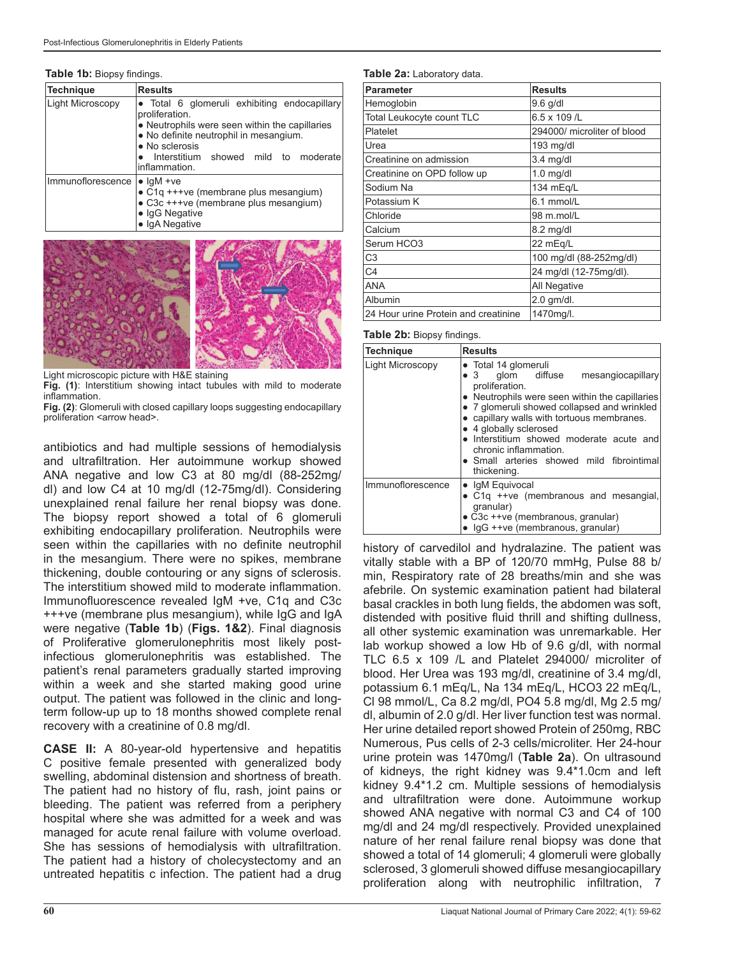| Table 1b: Biopsy findings. |  |  |
|----------------------------|--|--|
|----------------------------|--|--|

| Technique         | <b>Results</b>                                                                                                                                                                                                                        |  |
|-------------------|---------------------------------------------------------------------------------------------------------------------------------------------------------------------------------------------------------------------------------------|--|
| Light Microscopy  | • Total 6 glomeruli exhibiting endocapillary<br>proliferation.<br>• Neutrophils were seen within the capillaries<br>• No definite neutrophil in mesangium.<br>• No sclerosis<br>Interstitium showed mild to moderate<br>inflammation. |  |
| Immunoflorescence | $\bullet$ IqM +ve<br>• C1q +++ve (membrane plus mesangium)<br>• C3c +++ve (membrane plus mesangium)<br>· IqG Negative                                                                                                                 |  |

● IgA Negative



Light microscopic picture with H&E staining

**Fig. (1)**: Interstitium showing intact tubules with mild to moderate inflammation.

**Fig. (2)**: Glomeruli with closed capillary loops suggesting endocapillary proliferation <arrow head>.

antibiotics and had multiple sessions of hemodialysis and ultrafiltration. Her autoimmune workup showed ANA negative and low C3 at 80 mg/dl (88-252mg/ dl) and low C4 at 10 mg/dl (12-75mg/dl). Considering unexplained renal failure her renal biopsy was done. The biopsy report showed a total of 6 glomeruli exhibiting endocapillary proliferation. Neutrophils were seen within the capillaries with no definite neutrophil in the mesangium. There were no spikes, membrane thickening, double contouring or any signs of sclerosis. The interstitium showed mild to moderate inflammation. Immunofluorescence revealed IgM +ve, C1q and C3c +++ve (membrane plus mesangium), while IgG and IgA were negative (**Table 1b**) (**Figs. 1&2**). Final diagnosis of Proliferative glomerulonephritis most likely postinfectious glomerulonephritis was established. The patient's renal parameters gradually started improving within a week and she started making good urine output. The patient was followed in the clinic and longterm follow-up up to 18 months showed complete renal recovery with a creatinine of 0.8 mg/dl.

**CASE II:** A 80-year-old hypertensive and hepatitis C positive female presented with generalized body swelling, abdominal distension and shortness of breath. The patient had no history of flu, rash, joint pains or bleeding. The patient was referred from a periphery hospital where she was admitted for a week and was managed for acute renal failure with volume overload. She has sessions of hemodialysis with ultrafiltration. The patient had a history of cholecystectomy and an untreated hepatitis c infection. The patient had a drug

#### **Table 2a:** Laboratory data.

| <b>Parameter</b>                     | <b>Results</b>              |
|--------------------------------------|-----------------------------|
| Hemoglobin                           | $9.6$ g/dl                  |
| Total Leukocyte count TLC            | 6.5 x 109 /L                |
| Platelet                             | 294000/ microliter of blood |
| Urea                                 | 193 mg/dl                   |
| Creatinine on admission              | $3.4$ mg/dl                 |
| Creatinine on OPD follow up          | $1.0$ mg/dl                 |
| Sodium Na                            | 134 mEg/L                   |
| Potassium K                          | 6.1 mmol/L                  |
| Chloride                             | 98 m.mol/L                  |
| Calcium                              | 8.2 mg/dl                   |
| Serum HCO3                           | 22 mEq/L                    |
| C <sub>3</sub>                       | 100 mg/dl (88-252mg/dl)     |
| C <sub>4</sub>                       | 24 mg/dl (12-75mg/dl).      |
| <b>ANA</b>                           | All Negative                |
| Albumin                              | $2.0$ gm/dl.                |
| 24 Hour urine Protein and creatinine | 1470mg/l.                   |

#### **Table 2b:** Biopsy findings.

| <b>Technique</b>  | <b>Results</b>                                                                                                                                                                                                                                                                                                                                                                                    |
|-------------------|---------------------------------------------------------------------------------------------------------------------------------------------------------------------------------------------------------------------------------------------------------------------------------------------------------------------------------------------------------------------------------------------------|
| Light Microscopy  | • Total 14 glomeruli<br>$\bullet$ 3 glom diffuse<br>mesangiocapillary<br>proliferation.<br>• Neutrophils were seen within the capillaries<br>• 7 glomeruli showed collapsed and wrinkled<br>• capillary walls with tortuous membranes.<br>• 4 globally sclerosed<br>• Interstitium showed moderate acute and<br>chronic inflammation.<br>• Small arteries showed mild fibrointimal<br>thickening. |
| Immunoflorescence | • IgM Equivocal<br>• C1q ++ve (membranous and mesangial,<br>qranular)<br>• C3c ++ve (membranous, granular)<br>• IgG ++ve (membranous, granular)                                                                                                                                                                                                                                                   |

history of carvedilol and hydralazine. The patient was vitally stable with a BP of 120/70 mmHg, Pulse 88 b/ min, Respiratory rate of 28 breaths/min and she was afebrile. On systemic examination patient had bilateral basal crackles in both lung fields, the abdomen was soft, distended with positive fluid thrill and shifting dullness, all other systemic examination was unremarkable. Her lab workup showed a low Hb of 9.6 g/dl, with normal TLC 6.5 x 109 /L and Platelet 294000/ microliter of blood. Her Urea was 193 mg/dl, creatinine of 3.4 mg/dl, potassium 6.1 mEq/L, Na 134 mEq/L, HCO3 22 mEq/L, Cl 98 mmol/L, Ca 8.2 mg/dl, PO4 5.8 mg/dl, Mg 2.5 mg/ dl, albumin of 2.0 g/dl. Her liver function test was normal. Her urine detailed report showed Protein of 250mg, RBC Numerous, Pus cells of 2-3 cells/microliter. Her 24-hour urine protein was 1470mg/l (**Table 2a**). On ultrasound of kidneys, the right kidney was 9.4\*1.0cm and left kidney 9.4\*1.2 cm. Multiple sessions of hemodialysis and ultrafiltration were done. Autoimmune workup showed ANA negative with normal C3 and C4 of 100 mg/dl and 24 mg/dl respectively. Provided unexplained nature of her renal failure renal biopsy was done that showed a total of 14 glomeruli; 4 glomeruli were globally sclerosed, 3 glomeruli showed diffuse mesangiocapillary proliferation along with neutrophilic infiltration, 7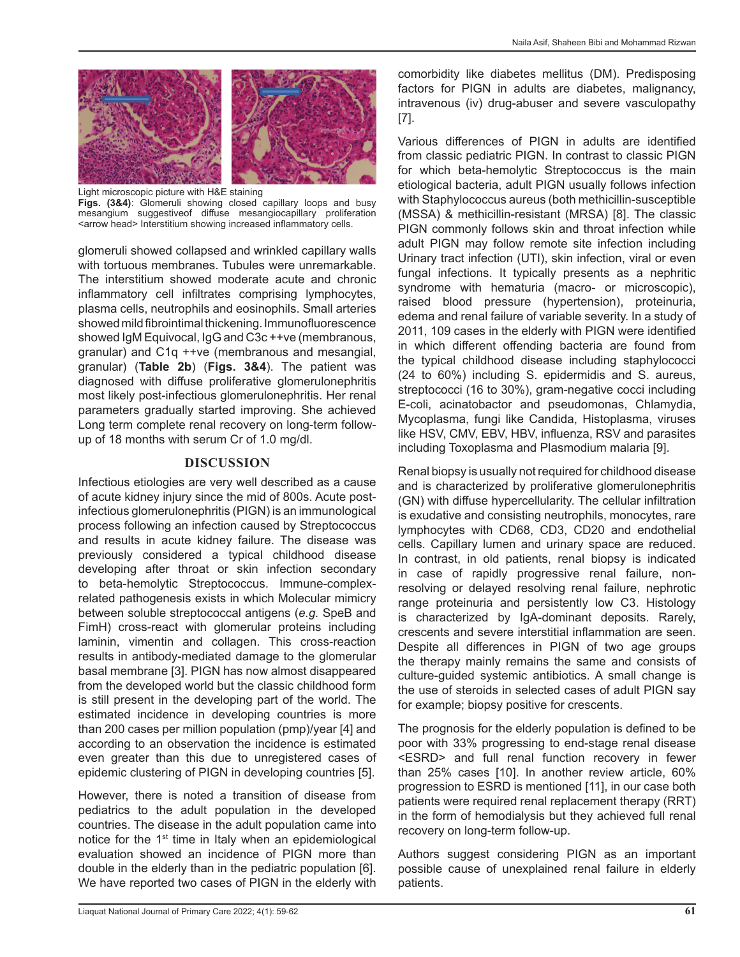

Light microscopic picture with H&E staining **Figs. (3&4)**: Glomeruli showing closed capillary loops and busy mesangium suggestiveof diffuse mesangiocapillary proliferation <arrow head> Interstitium showing increased inflammatory cells.

glomeruli showed collapsed and wrinkled capillary walls with tortuous membranes. Tubules were unremarkable. The interstitium showed moderate acute and chronic inflammatory cell infiltrates comprising lymphocytes, plasma cells, neutrophils and eosinophils. Small arteries showed mild fibrointimal thickening. Immunofluorescence showed IgM Equivocal, IgG and C3c ++ve (membranous, granular) and C1q ++ve (membranous and mesangial, granular) (**Table 2b**) (**Figs. 3&4**). The patient was diagnosed with diffuse proliferative glomerulonephritis most likely post-infectious glomerulonephritis. Her renal parameters gradually started improving. She achieved Long term complete renal recovery on long-term followup of 18 months with serum Cr of 1.0 mg/dl.

#### **DISCUSSION**

Infectious etiologies are very well described as a cause of acute kidney injury since the mid of 800s. Acute postinfectious glomerulonephritis (PIGN) is an immunological process following an infection caused by Streptococcus and results in acute kidney failure. The disease was previously considered a typical childhood disease developing after throat or skin infection secondary to beta-hemolytic Streptococcus. Immune-complexrelated pathogenesis exists in which Molecular mimicry between soluble streptococcal antigens (*e.g.* SpeB and FimH) cross-react with glomerular proteins including laminin, vimentin and collagen. This cross-reaction results in antibody-mediated damage to the glomerular basal membrane [3]. PIGN has now almost disappeared from the developed world but the classic childhood form is still present in the developing part of the world. The estimated incidence in developing countries is more than 200 cases per million population (pmp)/year [4] and according to an observation the incidence is estimated even greater than this due to unregistered cases of epidemic clustering of PIGN in developing countries [5].

However, there is noted a transition of disease from pediatrics to the adult population in the developed countries. The disease in the adult population came into notice for the 1<sup>st</sup> time in Italy when an epidemiological evaluation showed an incidence of PIGN more than double in the elderly than in the pediatric population [6]. We have reported two cases of PIGN in the elderly with

comorbidity like diabetes mellitus (DM). Predisposing factors for PIGN in adults are diabetes, malignancy, intravenous (iv) drug-abuser and severe vasculopathy [7].

Various differences of PIGN in adults are identified from classic pediatric PIGN. In contrast to classic PIGN for which beta-hemolytic Streptococcus is the main etiological bacteria, adult PIGN usually follows infection with Staphylococcus aureus (both methicillin-susceptible (MSSA) & methicillin-resistant (MRSA) [8]. The classic PIGN commonly follows skin and throat infection while adult PIGN may follow remote site infection including Urinary tract infection (UTI), skin infection, viral or even fungal infections. It typically presents as a nephritic syndrome with hematuria (macro- or microscopic), raised blood pressure (hypertension), proteinuria, edema and renal failure of variable severity. In a study of 2011, 109 cases in the elderly with PIGN were identified in which different offending bacteria are found from the typical childhood disease including staphylococci (24 to 60%) including S. epidermidis and S. aureus, streptococci (16 to 30%), gram-negative cocci including E-coli, acinatobactor and pseudomonas, Chlamydia, Mycoplasma, fungi like Candida, Histoplasma, viruses like HSV, CMV, EBV, HBV, influenza, RSV and parasites including Toxoplasma and Plasmodium malaria [9].

Renal biopsy is usually not required for childhood disease and is characterized by proliferative glomerulonephritis (GN) with diffuse hypercellularity. The cellular infiltration is exudative and consisting neutrophils, monocytes, rare lymphocytes with CD68, CD3, CD20 and endothelial cells. Capillary lumen and urinary space are reduced. In contrast, in old patients, renal biopsy is indicated in case of rapidly progressive renal failure, nonresolving or delayed resolving renal failure, nephrotic range proteinuria and persistently low C3. Histology is characterized by IgA-dominant deposits. Rarely, crescents and severe interstitial inflammation are seen. Despite all differences in PIGN of two age groups the therapy mainly remains the same and consists of culture-guided systemic antibiotics. A small change is the use of steroids in selected cases of adult PIGN say for example; biopsy positive for crescents.

The prognosis for the elderly population is defined to be poor with 33% progressing to end-stage renal disease <ESRD> and full renal function recovery in fewer than 25% cases [10]. In another review article, 60% progression to ESRD is mentioned [11], in our case both patients were required renal replacement therapy (RRT) in the form of hemodialysis but they achieved full renal recovery on long-term follow-up.

Authors suggest considering PIGN as an important possible cause of unexplained renal failure in elderly patients.